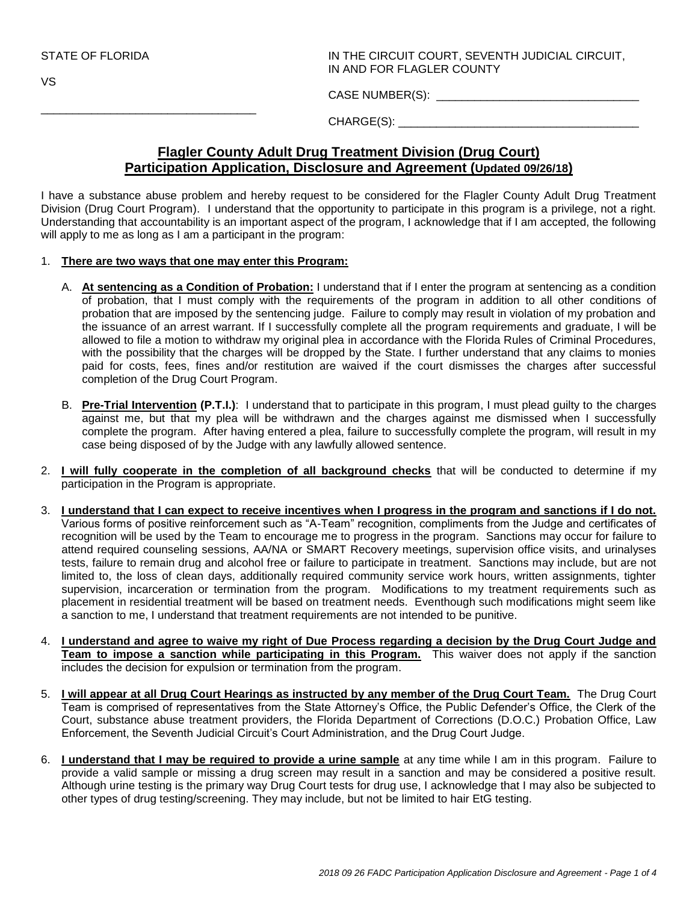\_\_\_\_\_\_\_\_\_\_\_\_\_\_\_\_\_\_\_\_\_\_\_\_\_\_\_\_\_\_\_\_\_\_

VS

IN THE CIRCUIT COURT, SEVENTH JUDICIAL CIRCUIT, IN AND FOR FLAGLER COUNTY

CASE NUMBER(S): \_\_\_\_\_\_\_\_\_\_\_\_\_\_\_\_\_\_\_\_\_\_\_\_\_\_\_\_\_\_\_\_

CHARGE(S): \_\_\_\_\_\_\_\_\_\_\_\_\_\_\_\_\_\_\_\_\_\_\_\_\_\_\_\_\_\_\_\_\_\_\_\_\_\_

# **Flagler County Adult Drug Treatment Division (Drug Court) Participation Application, Disclosure and Agreement (Updated 09/26/18)**

I have a substance abuse problem and hereby request to be considered for the Flagler County Adult Drug Treatment Division (Drug Court Program). I understand that the opportunity to participate in this program is a privilege, not a right. Understanding that accountability is an important aspect of the program, I acknowledge that if I am accepted, the following will apply to me as long as I am a participant in the program:

- 1. **There are two ways that one may enter this Program:** 
	- A. **At sentencing as a Condition of Probation:** I understand that if I enter the program at sentencing as a condition of probation, that I must comply with the requirements of the program in addition to all other conditions of probation that are imposed by the sentencing judge. Failure to comply may result in violation of my probation and the issuance of an arrest warrant. If I successfully complete all the program requirements and graduate, I will be allowed to file a motion to withdraw my original plea in accordance with the Florida Rules of Criminal Procedures, with the possibility that the charges will be dropped by the State. I further understand that any claims to monies paid for costs, fees, fines and/or restitution are waived if the court dismisses the charges after successful completion of the Drug Court Program.
	- B. **Pre-Trial Intervention (P.T.I.)**: I understand that to participate in this program, I must plead guilty to the charges against me, but that my plea will be withdrawn and the charges against me dismissed when I successfully complete the program. After having entered a plea, failure to successfully complete the program, will result in my case being disposed of by the Judge with any lawfully allowed sentence.
- 2. **I will fully cooperate in the completion of all background checks** that will be conducted to determine if my participation in the Program is appropriate.
- 3. **I understand that I can expect to receive incentives when I progress in the program and sanctions if I do not.**  Various forms of positive reinforcement such as "A-Team" recognition, compliments from the Judge and certificates of recognition will be used by the Team to encourage me to progress in the program. Sanctions may occur for failure to attend required counseling sessions, AA/NA or SMART Recovery meetings, supervision office visits, and urinalyses tests, failure to remain drug and alcohol free or failure to participate in treatment. Sanctions may include, but are not limited to, the loss of clean days, additionally required community service work hours, written assignments, tighter supervision, incarceration or termination from the program. Modifications to my treatment requirements such as placement in residential treatment will be based on treatment needs. Eventhough such modifications might seem like a sanction to me, I understand that treatment requirements are not intended to be punitive.
- 4. **I understand and agree to waive my right of Due Process regarding a decision by the Drug Court Judge and Team to impose a sanction while participating in this Program.** This waiver does not apply if the sanction includes the decision for expulsion or termination from the program.
- 5. **I will appear at all Drug Court Hearings as instructed by any member of the Drug Court Team.** The Drug Court Team is comprised of representatives from the State Attorney's Office, the Public Defender's Office, the Clerk of the Court, substance abuse treatment providers, the Florida Department of Corrections (D.O.C.) Probation Office, Law Enforcement, the Seventh Judicial Circuit's Court Administration, and the Drug Court Judge.
- 6. **I understand that I may be required to provide a urine sample** at any time while I am in this program. Failure to provide a valid sample or missing a drug screen may result in a sanction and may be considered a positive result. Although urine testing is the primary way Drug Court tests for drug use, I acknowledge that I may also be subjected to other types of drug testing/screening. They may include, but not be limited to hair EtG testing.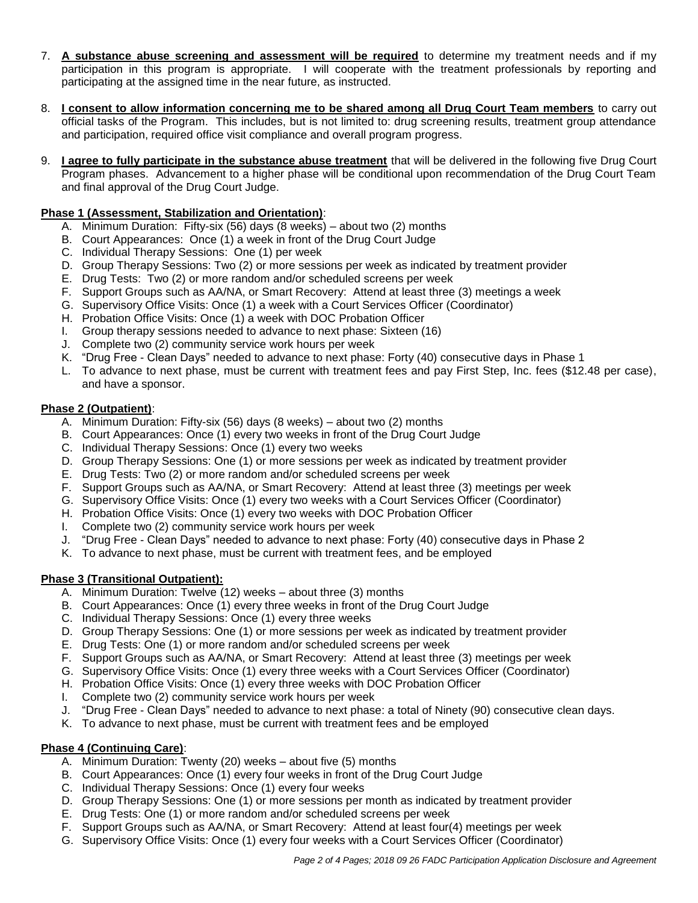- 7. **A substance abuse screening and assessment will be required** to determine my treatment needs and if my participation in this program is appropriate. I will cooperate with the treatment professionals by reporting and participating at the assigned time in the near future, as instructed.
- 8. **I consent to allow information concerning me to be shared among all Drug Court Team members** to carry out official tasks of the Program. This includes, but is not limited to: drug screening results, treatment group attendance and participation, required office visit compliance and overall program progress.
- 9. **I agree to fully participate in the substance abuse treatment** that will be delivered in the following five Drug Court Program phases. Advancement to a higher phase will be conditional upon recommendation of the Drug Court Team and final approval of the Drug Court Judge.

## **Phase 1 (Assessment, Stabilization and Orientation)**:

- A. Minimum Duration: Fifty-six (56) days (8 weeks) about two (2) months
- B. Court Appearances: Once (1) a week in front of the Drug Court Judge
- C. Individual Therapy Sessions: One (1) per week
- D. Group Therapy Sessions: Two (2) or more sessions per week as indicated by treatment provider
- E. Drug Tests: Two (2) or more random and/or scheduled screens per week
- F. Support Groups such as AA/NA, or Smart Recovery: Attend at least three (3) meetings a week
- G. Supervisory Office Visits: Once (1) a week with a Court Services Officer (Coordinator)
- H. Probation Office Visits: Once (1) a week with DOC Probation Officer
- I. Group therapy sessions needed to advance to next phase: Sixteen (16)
- J. Complete two (2) community service work hours per week
- K. "Drug Free Clean Days" needed to advance to next phase: Forty (40) consecutive days in Phase 1
- L. To advance to next phase, must be current with treatment fees and pay First Step, Inc. fees (\$12.48 per case), and have a sponsor.

#### **Phase 2 (Outpatient)**:

- A. Minimum Duration: Fifty-six (56) days (8 weeks) about two (2) months
- B. Court Appearances: Once (1) every two weeks in front of the Drug Court Judge
- C. Individual Therapy Sessions: Once (1) every two weeks
- D. Group Therapy Sessions: One (1) or more sessions per week as indicated by treatment provider
- E. Drug Tests: Two (2) or more random and/or scheduled screens per week
- F. Support Groups such as AA/NA, or Smart Recovery: Attend at least three (3) meetings per week
- G. Supervisory Office Visits: Once (1) every two weeks with a Court Services Officer (Coordinator)
- H. Probation Office Visits: Once (1) every two weeks with DOC Probation Officer
- I. Complete two (2) community service work hours per week
- J. "Drug Free Clean Days" needed to advance to next phase: Forty (40) consecutive days in Phase 2
- K. To advance to next phase, must be current with treatment fees, and be employed

### **Phase 3 (Transitional Outpatient):**

- A. Minimum Duration: Twelve (12) weeks about three (3) months
- B. Court Appearances: Once (1) every three weeks in front of the Drug Court Judge
- C. Individual Therapy Sessions: Once (1) every three weeks
- D. Group Therapy Sessions: One (1) or more sessions per week as indicated by treatment provider
- E. Drug Tests: One (1) or more random and/or scheduled screens per week
- F. Support Groups such as AA/NA, or Smart Recovery: Attend at least three (3) meetings per week
- G. Supervisory Office Visits: Once (1) every three weeks with a Court Services Officer (Coordinator)
- H. Probation Office Visits: Once (1) every three weeks with DOC Probation Officer
- I. Complete two (2) community service work hours per week
- J. "Drug Free Clean Days" needed to advance to next phase: a total of Ninety (90) consecutive clean days.
- K. To advance to next phase, must be current with treatment fees and be employed

### **Phase 4 (Continuing Care)**:

- A. Minimum Duration: Twenty (20) weeks about five (5) months
- B. Court Appearances: Once (1) every four weeks in front of the Drug Court Judge
- C. Individual Therapy Sessions: Once (1) every four weeks
- D. Group Therapy Sessions: One (1) or more sessions per month as indicated by treatment provider
- E. Drug Tests: One (1) or more random and/or scheduled screens per week
- F. Support Groups such as AA/NA, or Smart Recovery: Attend at least four(4) meetings per week
- G. Supervisory Office Visits: Once (1) every four weeks with a Court Services Officer (Coordinator)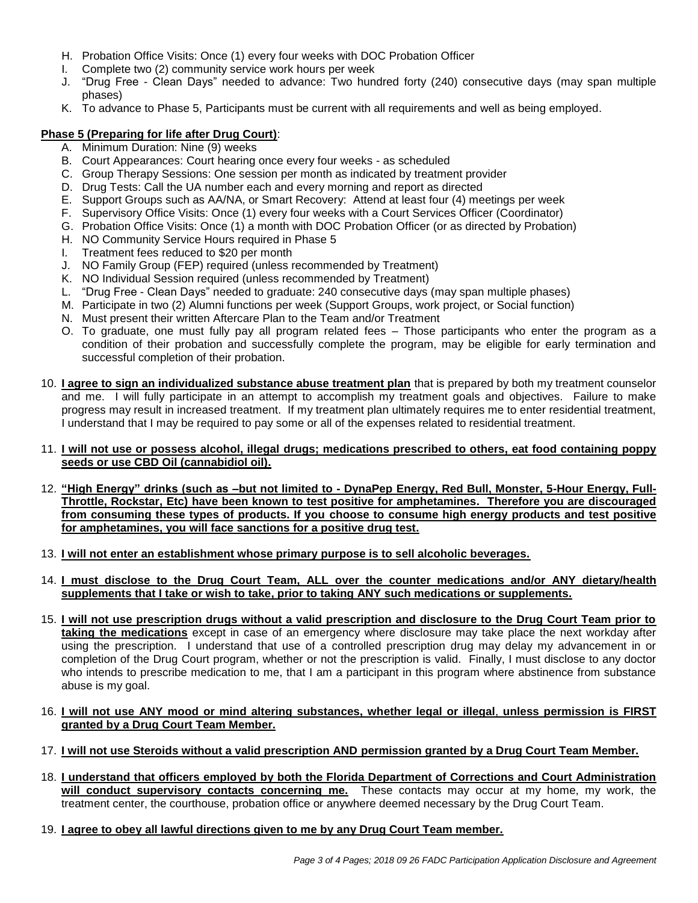- H. Probation Office Visits: Once (1) every four weeks with DOC Probation Officer
- I. Complete two (2) community service work hours per week
- J. "Drug Free Clean Days" needed to advance: Two hundred forty (240) consecutive days (may span multiple phases)
- K. To advance to Phase 5, Participants must be current with all requirements and well as being employed.

### **Phase 5 (Preparing for life after Drug Court)**:

- A. Minimum Duration: Nine (9) weeks
- B. Court Appearances: Court hearing once every four weeks as scheduled
- C. Group Therapy Sessions: One session per month as indicated by treatment provider
- D. Drug Tests: Call the UA number each and every morning and report as directed
- E. Support Groups such as AA/NA, or Smart Recovery: Attend at least four (4) meetings per week
- F. Supervisory Office Visits: Once (1) every four weeks with a Court Services Officer (Coordinator)
- G. Probation Office Visits: Once (1) a month with DOC Probation Officer (or as directed by Probation)
- H. NO Community Service Hours required in Phase 5
- I. Treatment fees reduced to \$20 per month
- J. NO Family Group (FEP) required (unless recommended by Treatment)
- K. NO Individual Session required (unless recommended by Treatment)
- L. "Drug Free Clean Days" needed to graduate: 240 consecutive days (may span multiple phases)
- M. Participate in two (2) Alumni functions per week (Support Groups, work project, or Social function)
- N. Must present their written Aftercare Plan to the Team and/or Treatment
- O. To graduate, one must fully pay all program related fees Those participants who enter the program as a condition of their probation and successfully complete the program, may be eligible for early termination and successful completion of their probation.
- 10. **I agree to sign an individualized substance abuse treatment plan** that is prepared by both my treatment counselor and me. I will fully participate in an attempt to accomplish my treatment goals and objectives. Failure to make progress may result in increased treatment. If my treatment plan ultimately requires me to enter residential treatment, I understand that I may be required to pay some or all of the expenses related to residential treatment.

#### 11. **I will not use or possess alcohol, illegal drugs; medications prescribed to others, eat food containing poppy seeds or use CBD Oil (cannabidiol oil).**

- 12. **"High Energy" drinks (such as –but not limited to - DynaPep Energy, Red Bull, Monster, 5-Hour Energy, Full-Throttle, Rockstar, Etc) have been known to test positive for amphetamines. Therefore you are discouraged from consuming these types of products. If you choose to consume high energy products and test positive for amphetamines, you will face sanctions for a positive drug test.**
- 13. **I will not enter an establishment whose primary purpose is to sell alcoholic beverages.**
- 14. **I must disclose to the Drug Court Team, ALL over the counter medications and/or ANY dietary/health supplements that I take or wish to take, prior to taking ANY such medications or supplements.**
- 15. **I will not use prescription drugs without a valid prescription and disclosure to the Drug Court Team prior to taking the medications** except in case of an emergency where disclosure may take place the next workday after using the prescription. I understand that use of a controlled prescription drug may delay my advancement in or completion of the Drug Court program, whether or not the prescription is valid. Finally, I must disclose to any doctor who intends to prescribe medication to me, that I am a participant in this program where abstinence from substance abuse is my goal.
- 16. **I will not use ANY mood or mind altering substances, whether legal or illegal**, **unless permission is FIRST granted by a Drug Court Team Member.**
- 17. **I will not use Steroids without a valid prescription AND permission granted by a Drug Court Team Member.**
- 18. **I understand that officers employed by both the Florida Department of Corrections and Court Administration will conduct supervisory contacts concerning me.** These contacts may occur at my home, my work, the treatment center, the courthouse, probation office or anywhere deemed necessary by the Drug Court Team.
- 19. **I agree to obey all lawful directions given to me by any Drug Court Team member.**